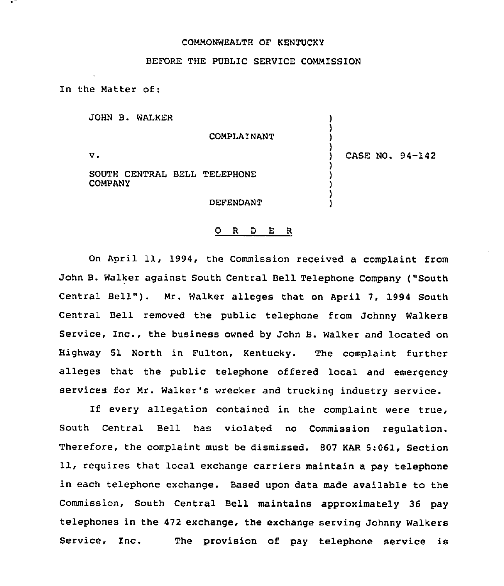### COMMONWEALTH QF KENTUCKY

## BEFORE THE PUBLIC SERVICE COMMISSION

In the Matter of:

JOHN B. WALKER

COMPLAINANT

 $\mathbf{v}$ .

SOUTH CENTRAL BELL TELEPHONE COMPANY

DEFENDANT

## ) CASE NO. 94-142

) ) ) )

) ) ) ) )

#### 0 <sup>R</sup> <sup>D</sup> E <sup>R</sup>

On April 11, 1994, the Commission received a complaint from John B. Walker against South Central Bell Telephone Company ("South Central Bell"). Mr. Walker alleges that on April 7, 1994 South Central Bell removed the public telephone from Johnny Walkers Service, Inc., the business owned by John B. Walker and located on Highway 51 North in Fulton, Kentucky. The complaint further alleges that the public telephone offered local and emergency services for Mr. Walker's wrecker and trucking industry service.

If every allegation contained in the complaint were true, South Central Bell has violated no Commission regulation. Therefore, the complaint must be dismissed. B07 KAR 5:061, Section 11, reguires that local exchange carriers maintain a pay telephone in each telephone exchange. Based upon data made available to the Commission, South Central Bell maintains approximately 36 pay telephones in the 472 exchange, the exchange serving Johnny Walkers Service, Inc. The provision of pay telephone service is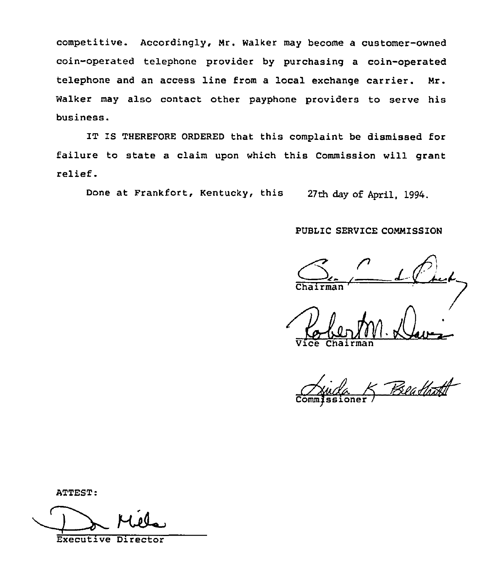competitive. Accordingly, Nr. walker may become a customer-owned coin-operated telephone provider by purchasing a coin-operated telephone and an access line from a local exchange carrier. Nr. Walker may also contact other payphone providers to serve his business.

IT IS THEREFORE ORDERED that this complaint be dismissed for failure to state a claim upon which this Commission will grant relief.

Done at Frankfort, Kentucky, this 27th day of April, 1994.

## PUBLIC SERVICE CONNISSION

Vice Chairma

Beath

ATTEST

Executive Director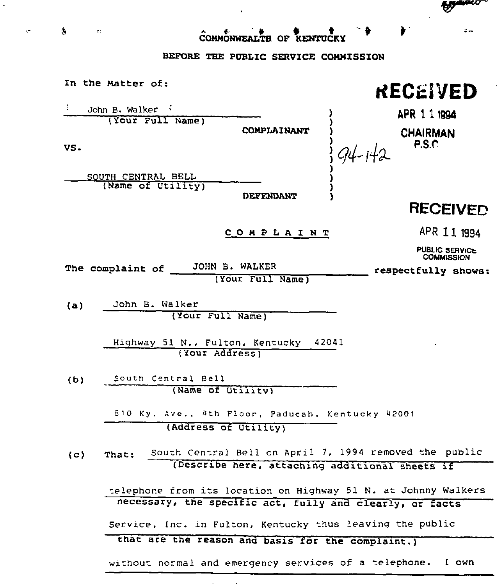COHMONWEALTH OF KENTUCKY

# BEFORE THE PUBLIC SERVICE COMMISSION

- 表 - 中

 $\sim$ 

|     | In the Matter of:                                              |                  | RECEIVED                                                 |             |
|-----|----------------------------------------------------------------|------------------|----------------------------------------------------------|-------------|
| Ι.  | John B. Walker                                                 |                  |                                                          |             |
| VS. | (Your Full Name)                                               | COMPLAINANT      | APR 1 1 1994<br><b>CHAIRMAN</b><br>P.S.C.                |             |
|     | SOUTH CENTRAL BELL                                             |                  |                                                          |             |
|     | (Name of Utility)                                              |                  |                                                          |             |
|     |                                                                | <b>DEFENDANT</b> |                                                          |             |
|     |                                                                |                  | <b>RECEIVED</b>                                          |             |
|     |                                                                | COMPLAINT        |                                                          | APR 11 1994 |
|     |                                                                |                  | PUBLIC SERVICE<br><b>COMMISSION</b>                      |             |
|     | JOHN B. WALKER<br>The complaint of                             |                  | respectfully shows:                                      |             |
|     |                                                                | (Your Full Name) |                                                          |             |
|     |                                                                |                  |                                                          |             |
| (a) | John B. Walker                                                 |                  |                                                          |             |
|     | (Your Full Name)                                               |                  |                                                          |             |
|     |                                                                |                  | 42041                                                    |             |
|     | Highway 51 N., Fulton, Kentucky<br>(Your Address)              |                  |                                                          |             |
|     |                                                                |                  |                                                          |             |
| (b) | South Central Bell                                             |                  |                                                          |             |
|     | (Name of Utility)                                              |                  |                                                          |             |
|     |                                                                |                  |                                                          |             |
|     | 810 Ky. Ave., 4th Floor, Paducah, Kentucky 42001               |                  |                                                          |             |
|     | (Address of Utility)                                           |                  |                                                          |             |
|     |                                                                |                  |                                                          |             |
| (c) | That:                                                          |                  | South Central Bell on April 7, 1994 removed the public   |             |
|     |                                                                |                  | (Describe here, attaching additional sheets if           |             |
|     |                                                                |                  |                                                          |             |
|     | telephone from its location on Highway 51 N. at Johnny Walkers |                  |                                                          |             |
|     |                                                                |                  | necessary, the specific act, fully and clearly, or facts |             |
|     | Service, Inc. in Fulton, Kentucky thus leaving the public      |                  |                                                          |             |
|     | that are the reason and basis for the complaint.)              |                  |                                                          |             |
|     |                                                                |                  |                                                          |             |
|     | without normal and emergency services of a telephone. I own    |                  |                                                          |             |

 $\alpha$  and  $\alpha$  and  $\alpha$ 

**Commercial** 

 $\mathbb{R}$  and

 $\mathbf{F}^{\perp}$